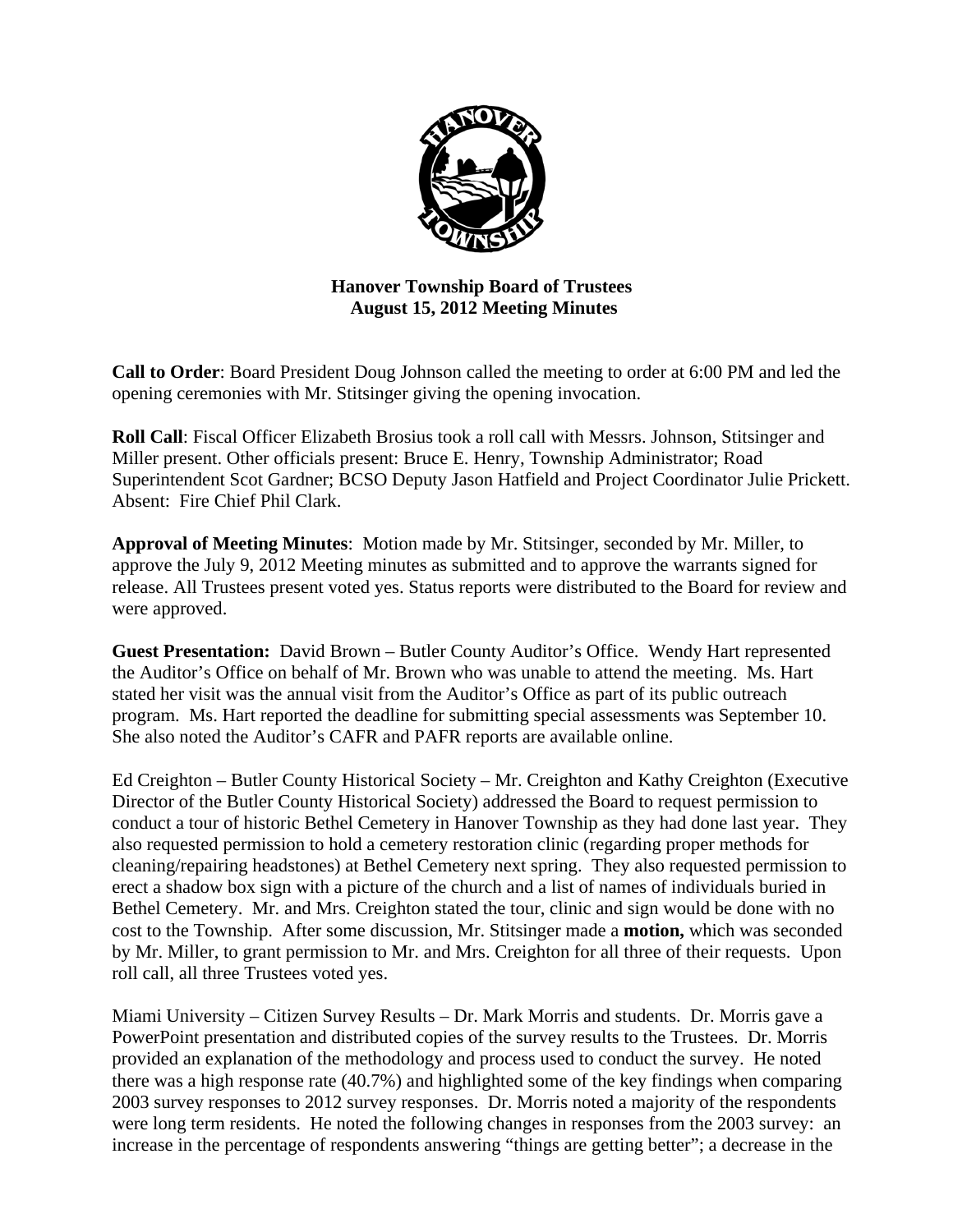

## **Hanover Township Board of Trustees August 15, 2012 Meeting Minutes**

**Call to Order**: Board President Doug Johnson called the meeting to order at 6:00 PM and led the opening ceremonies with Mr. Stitsinger giving the opening invocation.

**Roll Call**: Fiscal Officer Elizabeth Brosius took a roll call with Messrs. Johnson, Stitsinger and Miller present. Other officials present: Bruce E. Henry, Township Administrator; Road Superintendent Scot Gardner; BCSO Deputy Jason Hatfield and Project Coordinator Julie Prickett. Absent: Fire Chief Phil Clark.

**Approval of Meeting Minutes**: Motion made by Mr. Stitsinger, seconded by Mr. Miller, to approve the July 9, 2012 Meeting minutes as submitted and to approve the warrants signed for release. All Trustees present voted yes. Status reports were distributed to the Board for review and were approved.

**Guest Presentation:** David Brown – Butler County Auditor's Office. Wendy Hart represented the Auditor's Office on behalf of Mr. Brown who was unable to attend the meeting. Ms. Hart stated her visit was the annual visit from the Auditor's Office as part of its public outreach program. Ms. Hart reported the deadline for submitting special assessments was September 10. She also noted the Auditor's CAFR and PAFR reports are available online.

Ed Creighton – Butler County Historical Society – Mr. Creighton and Kathy Creighton (Executive Director of the Butler County Historical Society) addressed the Board to request permission to conduct a tour of historic Bethel Cemetery in Hanover Township as they had done last year. They also requested permission to hold a cemetery restoration clinic (regarding proper methods for cleaning/repairing headstones) at Bethel Cemetery next spring. They also requested permission to erect a shadow box sign with a picture of the church and a list of names of individuals buried in Bethel Cemetery. Mr. and Mrs. Creighton stated the tour, clinic and sign would be done with no cost to the Township. After some discussion, Mr. Stitsinger made a **motion,** which was seconded by Mr. Miller, to grant permission to Mr. and Mrs. Creighton for all three of their requests. Upon roll call, all three Trustees voted yes.

Miami University – Citizen Survey Results – Dr. Mark Morris and students. Dr. Morris gave a PowerPoint presentation and distributed copies of the survey results to the Trustees. Dr. Morris provided an explanation of the methodology and process used to conduct the survey. He noted there was a high response rate (40.7%) and highlighted some of the key findings when comparing 2003 survey responses to 2012 survey responses. Dr. Morris noted a majority of the respondents were long term residents. He noted the following changes in responses from the 2003 survey: an increase in the percentage of respondents answering "things are getting better"; a decrease in the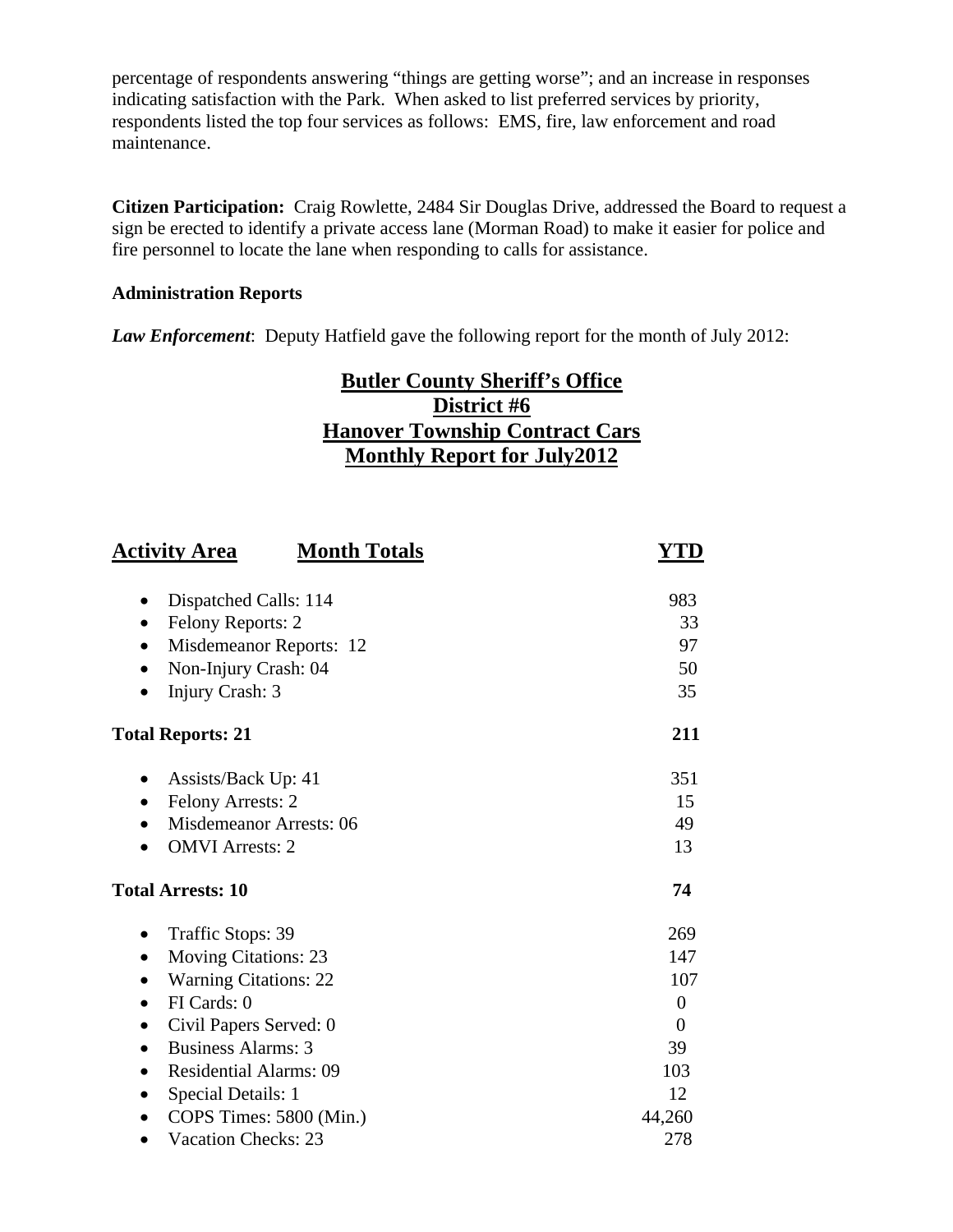percentage of respondents answering "things are getting worse"; and an increase in responses indicating satisfaction with the Park. When asked to list preferred services by priority, respondents listed the top four services as follows: EMS, fire, law enforcement and road maintenance.

**Citizen Participation:** Craig Rowlette, 2484 Sir Douglas Drive, addressed the Board to request a sign be erected to identify a private access lane (Morman Road) to make it easier for police and fire personnel to locate the lane when responding to calls for assistance.

### **Administration Reports**

*Law Enforcement*: Deputy Hatfield gave the following report for the month of July 2012:

# **Butler County Sheriff's Office District #6 Hanover Township Contract Cars Monthly Report for July2012**

| <b>Activity Area</b>                       | <b>Month Totals</b>            | YTD      |
|--------------------------------------------|--------------------------------|----------|
| Dispatched Calls: 114                      |                                | 983      |
| Felony Reports: 2<br>$\bullet$             |                                | 33       |
| $\bullet$                                  | Misdemeanor Reports: 12        | 97       |
| Non-Injury Crash: 04                       |                                | 50       |
| Injury Crash: 3                            |                                | 35       |
| <b>Total Reports: 21</b>                   |                                | 211      |
| Assists/Back Up: 41                        |                                | 351      |
| Felony Arrests: 2<br>$\bullet$             |                                | 15       |
|                                            | <b>Misdemeanor Arrests: 06</b> | 49       |
| <b>OMVI</b> Arrests: 2                     |                                | 13       |
| <b>Total Arrests: 10</b>                   |                                | 74       |
| Traffic Stops: 39                          |                                | 269      |
| <b>Moving Citations: 23</b><br>$\bullet$   |                                | 147      |
| <b>Warning Citations: 22</b>               |                                | 107      |
| FI Cards: 0<br>$\bullet$                   |                                | $\theta$ |
| Civil Papers Served: 0<br>$\bullet$        |                                | $\theta$ |
| <b>Business Alarms: 3</b><br>$\bullet$     |                                | 39       |
| <b>Residential Alarms: 09</b><br>$\bullet$ |                                | 103      |
| Special Details: 1<br>$\bullet$            |                                | 12       |
| $\bullet$                                  | COPS Times: 5800 (Min.)        | 44,260   |
| <b>Vacation Checks: 23</b>                 |                                | 278      |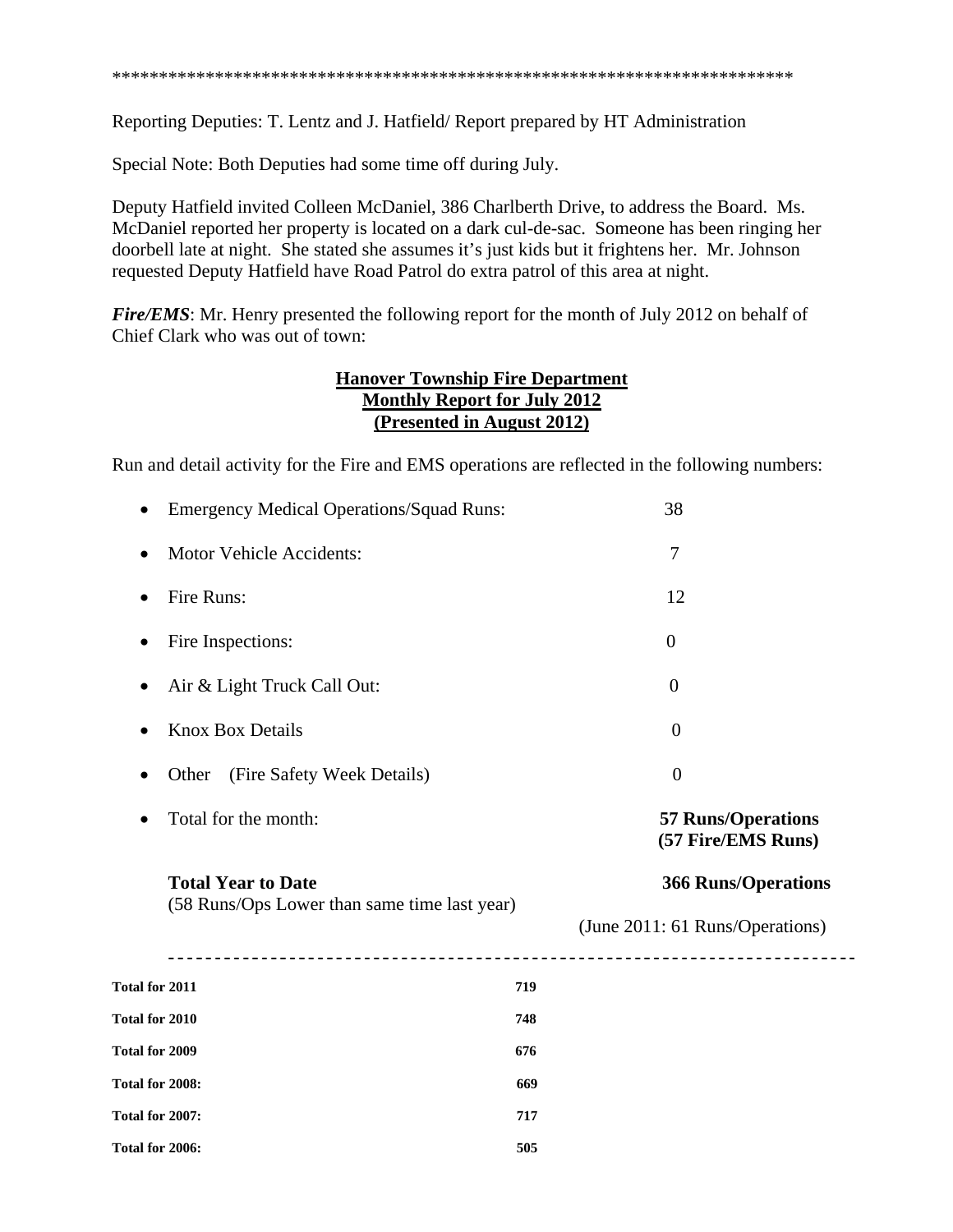\*\*\*\*\*\*\*\*\*\*\*\*\*\*\*\*\*\*\*\*\*\*\*\*\*\*\*\*\*\*\*\*\*\*\*\*\*\*\*\*\*\*\*\*\*\*\*\*\*\*\*\*\*\*\*\*\*\*\*\*\*\*\*\*\*\*\*\*\*\*\*\*\*

Reporting Deputies: T. Lentz and J. Hatfield/ Report prepared by HT Administration

Special Note: Both Deputies had some time off during July.

Deputy Hatfield invited Colleen McDaniel, 386 Charlberth Drive, to address the Board. Ms. McDaniel reported her property is located on a dark cul-de-sac. Someone has been ringing her doorbell late at night. She stated she assumes it's just kids but it frightens her. Mr. Johnson requested Deputy Hatfield have Road Patrol do extra patrol of this area at night.

*Fire/EMS*: Mr. Henry presented the following report for the month of July 2012 on behalf of Chief Clark who was out of town:

## **Hanover Township Fire Department Monthly Report for July 2012 (Presented in August 2012)**

Run and detail activity for the Fire and EMS operations are reflected in the following numbers:

|                 | <b>Emergency Medical Operations/Squad Runs:</b>                           |     | 38                                              |  |
|-----------------|---------------------------------------------------------------------------|-----|-------------------------------------------------|--|
| $\bullet$       | <b>Motor Vehicle Accidents:</b>                                           |     | 7                                               |  |
| $\bullet$       | Fire Runs:                                                                |     | 12                                              |  |
|                 | Fire Inspections:                                                         |     | $\theta$                                        |  |
|                 | Air & Light Truck Call Out:                                               |     | $\overline{0}$                                  |  |
| ٠               | <b>Knox Box Details</b>                                                   |     | $\boldsymbol{0}$                                |  |
| $\bullet$       | (Fire Safety Week Details)<br>Other                                       |     | $\overline{0}$                                  |  |
| ٠               | Total for the month:                                                      |     | <b>57 Runs/Operations</b><br>(57 Fire/EMS Runs) |  |
|                 | <b>Total Year to Date</b><br>(58 Runs/Ops Lower than same time last year) |     | <b>366 Runs/Operations</b>                      |  |
|                 |                                                                           |     | (June 2011: 61 Runs/Operations)                 |  |
| Total for 2011  |                                                                           | 719 |                                                 |  |
| Total for 2010  |                                                                           | 748 |                                                 |  |
| Total for 2009  |                                                                           | 676 |                                                 |  |
| Total for 2008: |                                                                           | 669 |                                                 |  |
| Total for 2007: |                                                                           | 717 |                                                 |  |
| Total for 2006: |                                                                           | 505 |                                                 |  |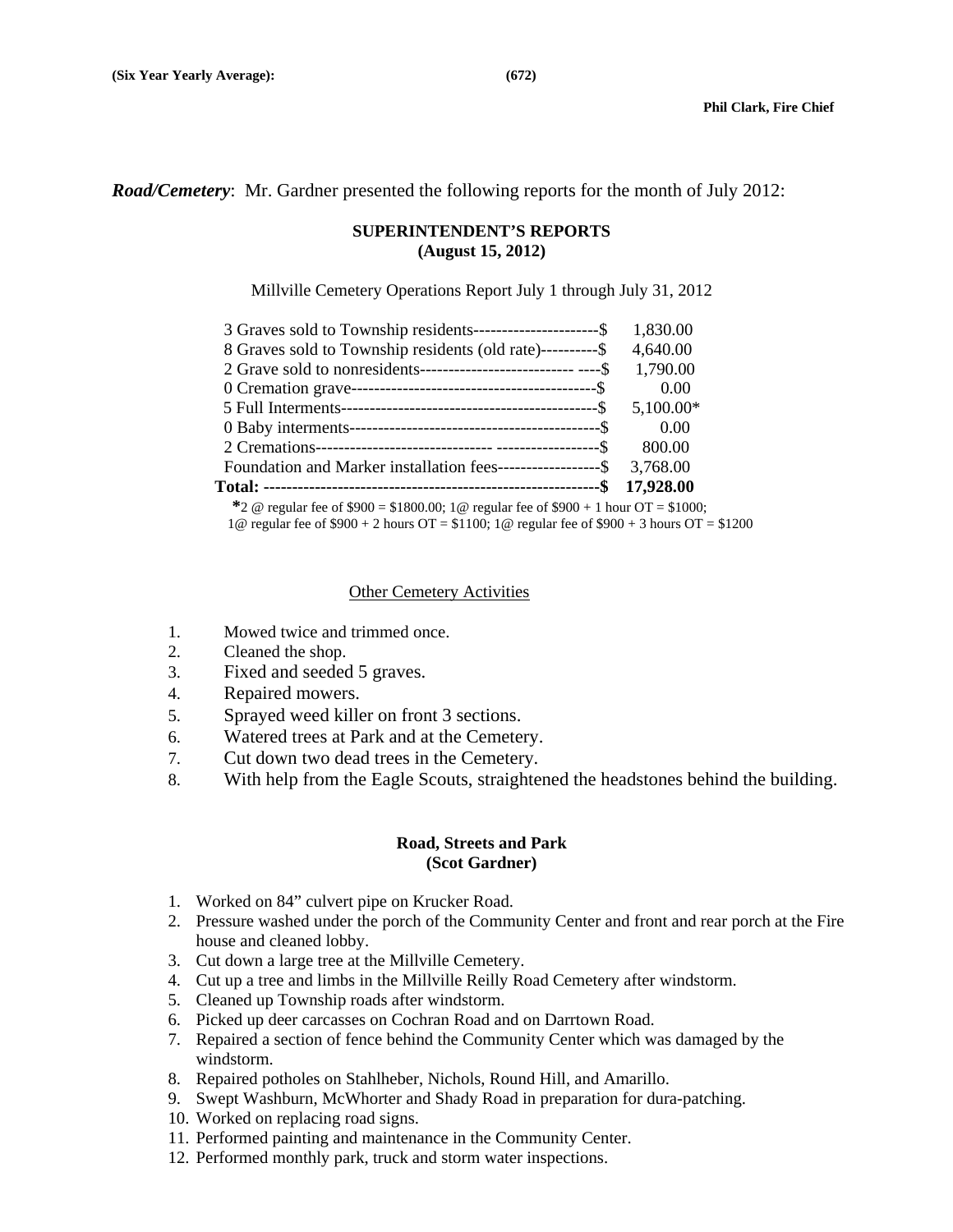*Road/Cemetery*: Mr. Gardner presented the following reports for the month of July 2012:

#### **SUPERINTENDENT'S REPORTS (August 15, 2012)**

Millville Cemetery Operations Report July 1 through July 31, 2012

|                                                               | 17,928.00   |
|---------------------------------------------------------------|-------------|
|                                                               |             |
| Foundation and Marker installation fees--------------------\$ | 3,768.00    |
|                                                               | 800.00      |
|                                                               | 0.00        |
|                                                               | $5,100.00*$ |
|                                                               | 0.00        |
|                                                               | 1,790.00    |
| 8 Graves sold to Township residents (old rate)-----------\$   | 4,640.00    |
| 3 Graves sold to Township residents-----------------------\$  | 1,830.00    |
|                                                               |             |

 **\***2 @ regular fee of \$900 = \$1800.00; 1@ regular fee of \$900 + 1 hour OT = \$1000; 1@ regular fee of \$900 + 2 hours OT = \$1100; 1@ regular fee of \$900 + 3 hours OT = \$1200

#### Other Cemetery Activities

- 1. Mowed twice and trimmed once.
- 2. Cleaned the shop.
- 3. Fixed and seeded 5 graves.
- 4. Repaired mowers.
- 5. Sprayed weed killer on front 3 sections.
- 6. Watered trees at Park and at the Cemetery.
- 7. Cut down two dead trees in the Cemetery.
- 8. With help from the Eagle Scouts, straightened the headstones behind the building.

#### **Road, Streets and Park (Scot Gardner)**

- 1. Worked on 84" culvert pipe on Krucker Road.
- 2. Pressure washed under the porch of the Community Center and front and rear porch at the Fire house and cleaned lobby.
- 3. Cut down a large tree at the Millville Cemetery.
- 4. Cut up a tree and limbs in the Millville Reilly Road Cemetery after windstorm.
- 5. Cleaned up Township roads after windstorm.
- 6. Picked up deer carcasses on Cochran Road and on Darrtown Road.
- 7. Repaired a section of fence behind the Community Center which was damaged by the windstorm.
- 8. Repaired potholes on Stahlheber, Nichols, Round Hill, and Amarillo.
- 9. Swept Washburn, McWhorter and Shady Road in preparation for dura-patching.
- 10. Worked on replacing road signs.
- 11. Performed painting and maintenance in the Community Center.
- 12. Performed monthly park, truck and storm water inspections.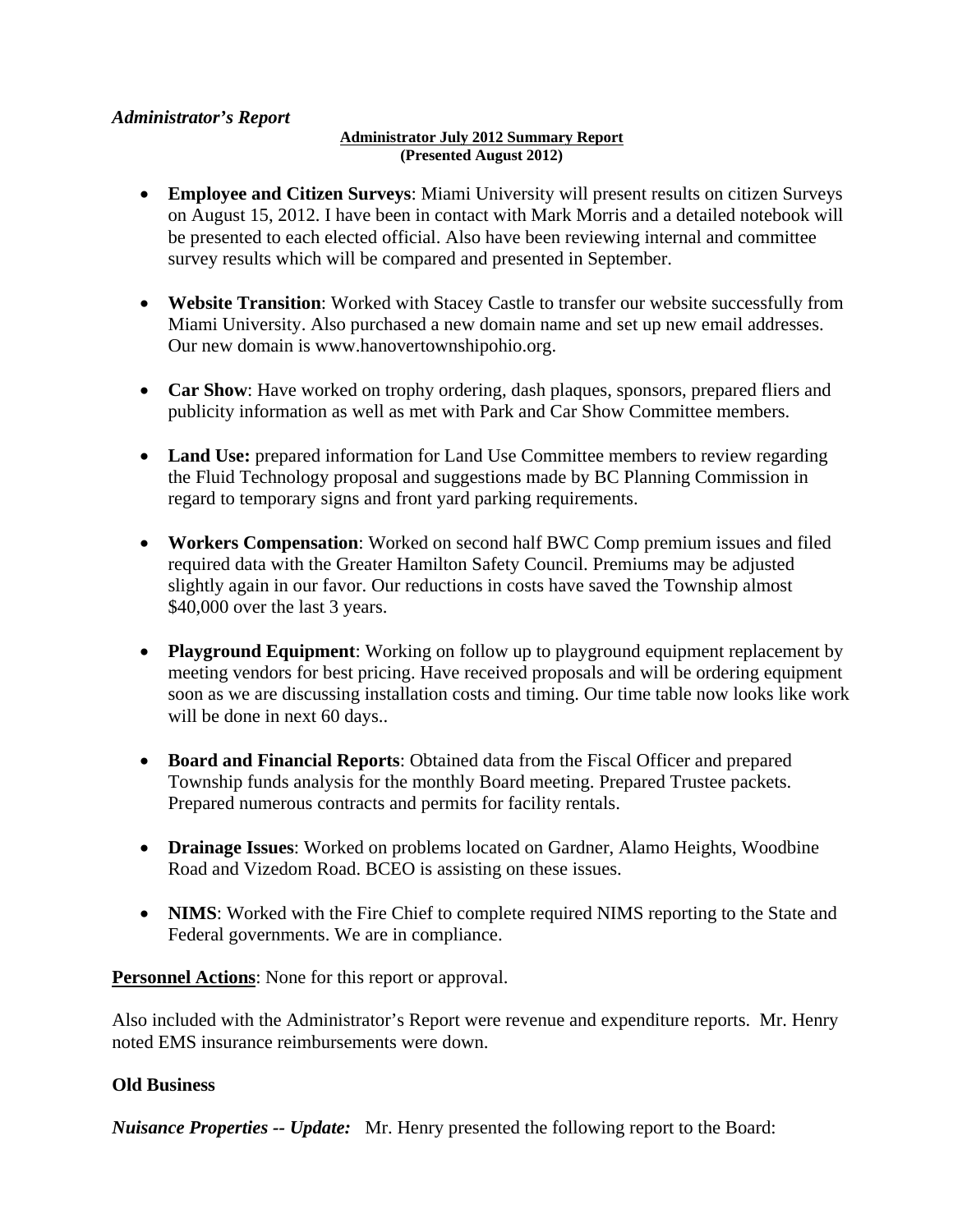## *Administrator's Report*

#### **Administrator July 2012 Summary Report (Presented August 2012)**

- **Employee and Citizen Surveys**: Miami University will present results on citizen Surveys on August 15, 2012. I have been in contact with Mark Morris and a detailed notebook will be presented to each elected official. Also have been reviewing internal and committee survey results which will be compared and presented in September.
- **Website Transition**: Worked with Stacey Castle to transfer our website successfully from Miami University. Also purchased a new domain name and set up new email addresses. Our new domain is www.hanovertownshipohio.org.
- **Car Show**: Have worked on trophy ordering, dash plaques, sponsors, prepared fliers and publicity information as well as met with Park and Car Show Committee members.
- Land Use: prepared information for Land Use Committee members to review regarding the Fluid Technology proposal and suggestions made by BC Planning Commission in regard to temporary signs and front yard parking requirements.
- **Workers Compensation**: Worked on second half BWC Comp premium issues and filed required data with the Greater Hamilton Safety Council. Premiums may be adjusted slightly again in our favor. Our reductions in costs have saved the Township almost \$40,000 over the last 3 years.
- **Playground Equipment**: Working on follow up to playground equipment replacement by meeting vendors for best pricing. Have received proposals and will be ordering equipment soon as we are discussing installation costs and timing. Our time table now looks like work will be done in next 60 days..
- **Board and Financial Reports**: Obtained data from the Fiscal Officer and prepared Township funds analysis for the monthly Board meeting. Prepared Trustee packets. Prepared numerous contracts and permits for facility rentals.
- **Drainage Issues**: Worked on problems located on Gardner, Alamo Heights, Woodbine Road and Vizedom Road. BCEO is assisting on these issues.
- NIMS: Worked with the Fire Chief to complete required NIMS reporting to the State and Federal governments. We are in compliance.

**Personnel Actions**: None for this report or approval.

Also included with the Administrator's Report were revenue and expenditure reports. Mr. Henry noted EMS insurance reimbursements were down.

### **Old Business**

*Nuisance Properties -- Update:* Mr. Henry presented the following report to the Board: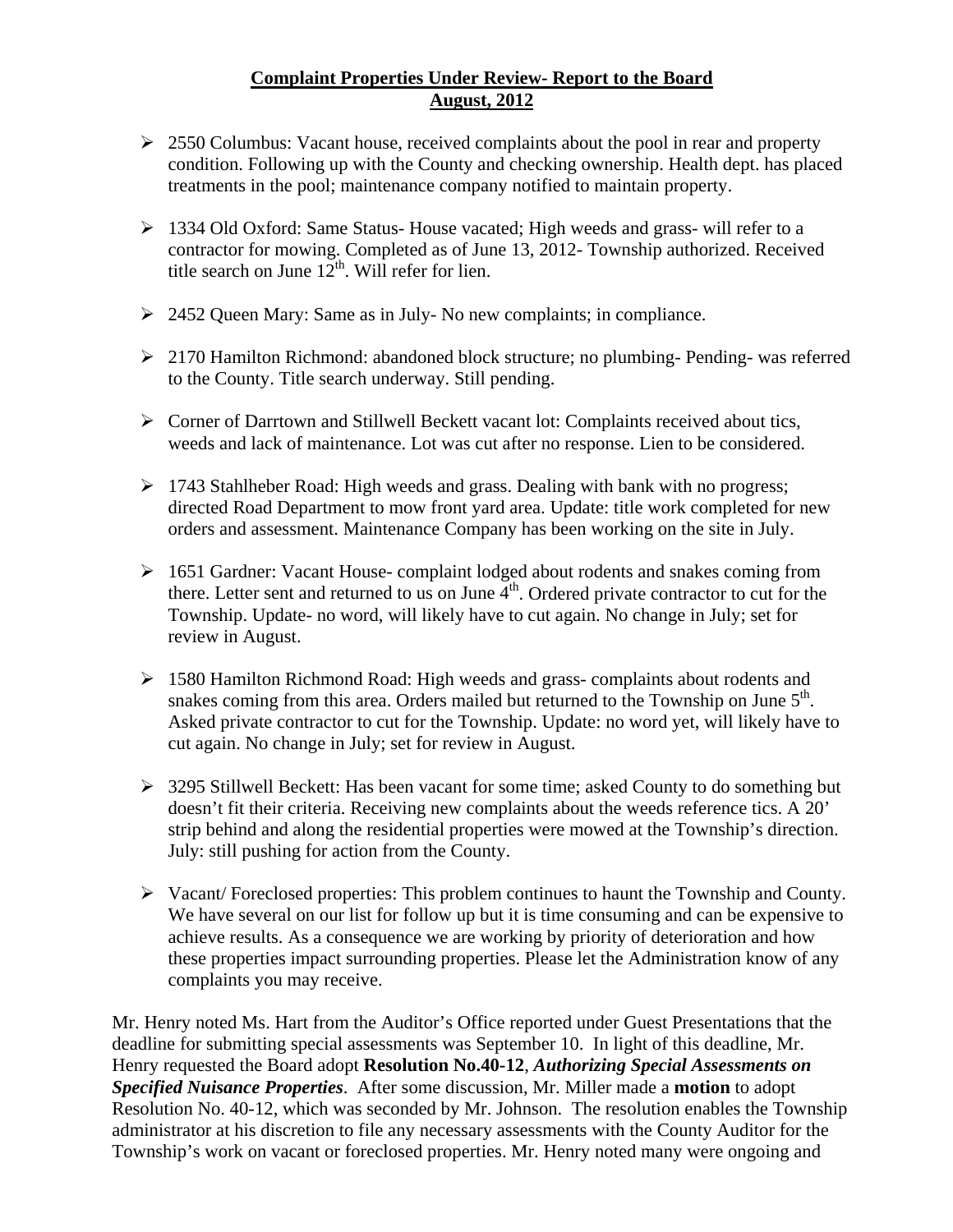## **Complaint Properties Under Review- Report to the Board August, 2012**

- $\geq 2550$  Columbus: Vacant house, received complaints about the pool in rear and property condition. Following up with the County and checking ownership. Health dept. has placed treatments in the pool; maintenance company notified to maintain property.
- $\geq 1334$  Old Oxford: Same Status-House vacated; High weeds and grass- will refer to a contractor for mowing. Completed as of June 13, 2012- Township authorized. Received title search on June  $12^{th}$ . Will refer for lien.
- $\geq 2452$  Queen Mary: Same as in July-No new complaints; in compliance.
- 2170 Hamilton Richmond: abandoned block structure; no plumbing- Pending- was referred to the County. Title search underway. Still pending.
- $\triangleright$  Corner of Darrtown and Stillwell Beckett vacant lot: Complaints received about tics, weeds and lack of maintenance. Lot was cut after no response. Lien to be considered.
- 1743 Stahlheber Road: High weeds and grass. Dealing with bank with no progress; directed Road Department to mow front yard area. Update: title work completed for new orders and assessment. Maintenance Company has been working on the site in July.
- 1651 Gardner: Vacant House- complaint lodged about rodents and snakes coming from there. Letter sent and returned to us on June  $\overline{4}^{th}$ . Ordered private contractor to cut for the Township. Update- no word, will likely have to cut again. No change in July; set for review in August.
- 1580 Hamilton Richmond Road: High weeds and grass- complaints about rodents and snakes coming from this area. Orders mailed but returned to the Township on June  $5<sup>th</sup>$ . Asked private contractor to cut for the Township. Update: no word yet, will likely have to cut again. No change in July; set for review in August.
- 3295 Stillwell Beckett: Has been vacant for some time; asked County to do something but doesn't fit their criteria. Receiving new complaints about the weeds reference tics. A 20' strip behind and along the residential properties were mowed at the Township's direction. July: still pushing for action from the County.
- $\triangleright$  Vacant/ Foreclosed properties: This problem continues to haunt the Township and County. We have several on our list for follow up but it is time consuming and can be expensive to achieve results. As a consequence we are working by priority of deterioration and how these properties impact surrounding properties. Please let the Administration know of any complaints you may receive.

Mr. Henry noted Ms. Hart from the Auditor's Office reported under Guest Presentations that the deadline for submitting special assessments was September 10. In light of this deadline, Mr. Henry requested the Board adopt **Resolution No.40-12**, *Authorizing Special Assessments on Specified Nuisance Properties*. After some discussion, Mr. Miller made a **motion** to adopt Resolution No. 40-12, which was seconded by Mr. Johnson. The resolution enables the Township administrator at his discretion to file any necessary assessments with the County Auditor for the Township's work on vacant or foreclosed properties. Mr. Henry noted many were ongoing and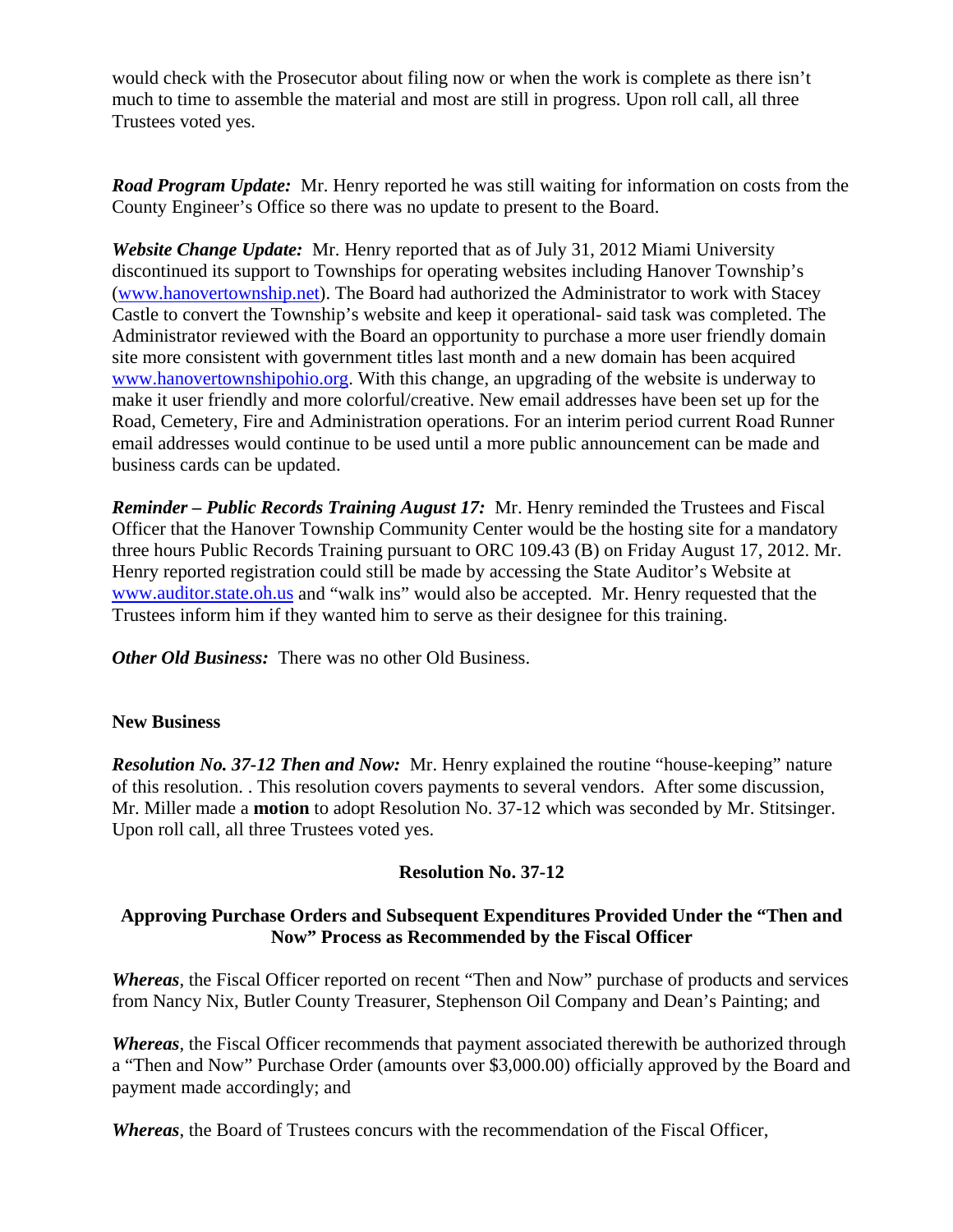would check with the Prosecutor about filing now or when the work is complete as there isn't much to time to assemble the material and most are still in progress. Upon roll call, all three Trustees voted yes.

*Road Program Update:* Mr. Henry reported he was still waiting for information on costs from the County Engineer's Office so there was no update to present to the Board.

*Website Change Update:* Mr. Henry reported that as of July 31, 2012 Miami University discontinued its support to Townships for operating websites including Hanover Township's (www.hanovertownship.net). The Board had authorized the Administrator to work with Stacey Castle to convert the Township's website and keep it operational- said task was completed. The Administrator reviewed with the Board an opportunity to purchase a more user friendly domain site more consistent with government titles last month and a new domain has been acquired www.hanovertownshipohio.org. With this change, an upgrading of the website is underway to make it user friendly and more colorful/creative. New email addresses have been set up for the Road, Cemetery, Fire and Administration operations. For an interim period current Road Runner email addresses would continue to be used until a more public announcement can be made and business cards can be updated.

*Reminder – Public Records Training August 17:* Mr. Henry reminded the Trustees and Fiscal Officer that the Hanover Township Community Center would be the hosting site for a mandatory three hours Public Records Training pursuant to ORC 109.43 (B) on Friday August 17, 2012. Mr. Henry reported registration could still be made by accessing the State Auditor's Website at www.auditor.state.oh.us and "walk ins" would also be accepted. Mr. Henry requested that the Trustees inform him if they wanted him to serve as their designee for this training.

*Other Old Business:* There was no other Old Business.

### **New Business**

*Resolution No. 37-12 Then and Now:* Mr. Henry explained the routine "house-keeping" nature of this resolution. . This resolution covers payments to several vendors. After some discussion, Mr. Miller made a **motion** to adopt Resolution No. 37-12 which was seconded by Mr. Stitsinger. Upon roll call, all three Trustees voted yes.

## **Resolution No. 37-12**

## **Approving Purchase Orders and Subsequent Expenditures Provided Under the "Then and Now" Process as Recommended by the Fiscal Officer**

*Whereas*, the Fiscal Officer reported on recent "Then and Now" purchase of products and services from Nancy Nix, Butler County Treasurer, Stephenson Oil Company and Dean's Painting; and

*Whereas*, the Fiscal Officer recommends that payment associated therewith be authorized through a "Then and Now" Purchase Order (amounts over \$3,000.00) officially approved by the Board and payment made accordingly; and

*Whereas*, the Board of Trustees concurs with the recommendation of the Fiscal Officer,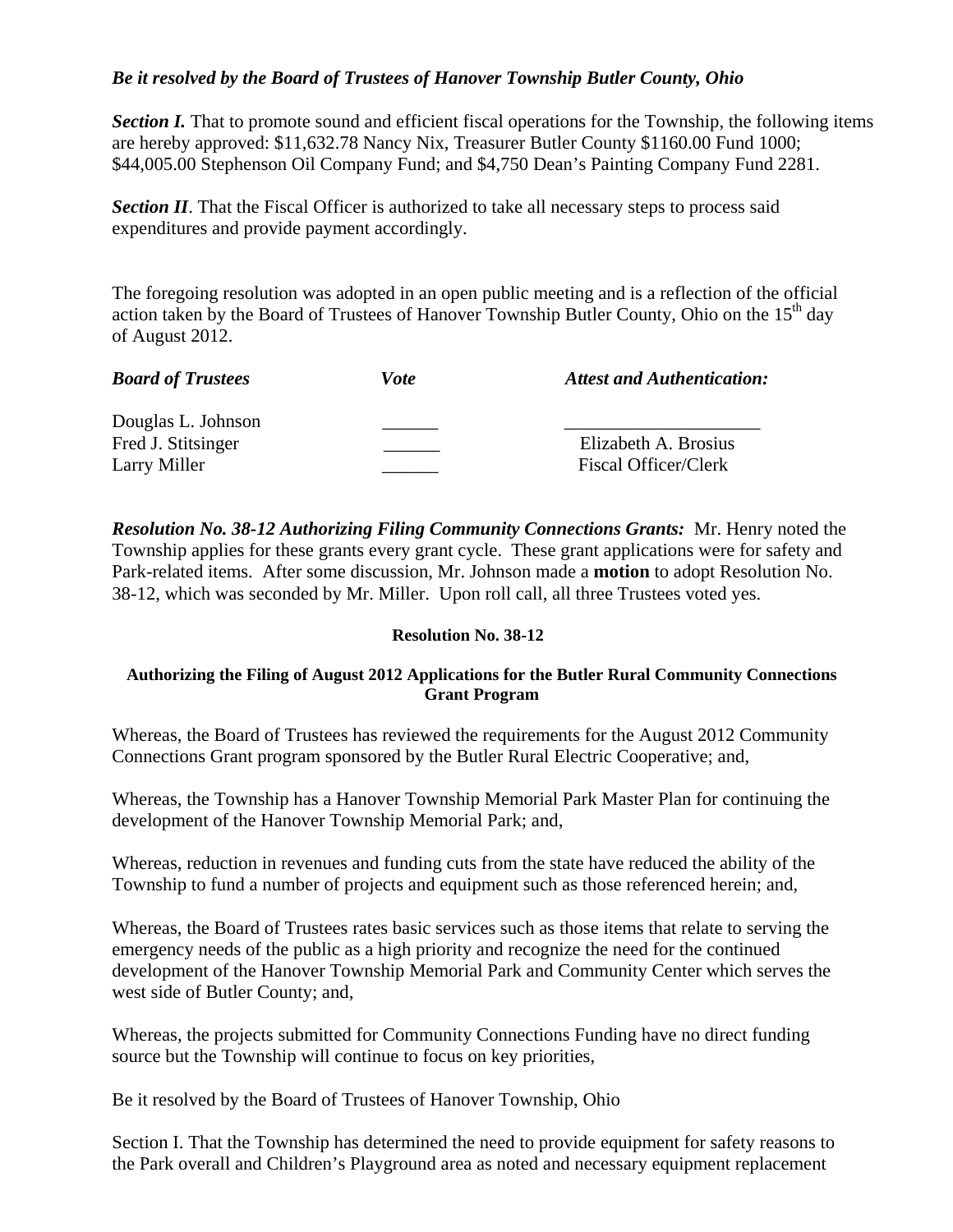## *Be it resolved by the Board of Trustees of Hanover Township Butler County, Ohio*

*Section I.* That to promote sound and efficient fiscal operations for the Township, the following items are hereby approved: \$11,632.78 Nancy Nix, Treasurer Butler County \$1160.00 Fund 1000; \$44,005.00 Stephenson Oil Company Fund; and \$4,750 Dean's Painting Company Fund 2281.

**Section II**. That the Fiscal Officer is authorized to take all necessary steps to process said expenditures and provide payment accordingly.

The foregoing resolution was adopted in an open public meeting and is a reflection of the official action taken by the Board of Trustees of Hanover Township Butler County, Ohio on the  $15<sup>th</sup>$  day of August 2012.

| <b>Board of Trustees</b> | Vote | <b>Attest and Authentication:</b> |
|--------------------------|------|-----------------------------------|
| Douglas L. Johnson       |      |                                   |
| Fred J. Stitsinger       |      | Elizabeth A. Brosius              |
| Larry Miller             |      | <b>Fiscal Officer/Clerk</b>       |

*Resolution No. 38-12 Authorizing Filing Community Connections Grants:* Mr. Henry noted the Township applies for these grants every grant cycle. These grant applications were for safety and Park-related items. After some discussion, Mr. Johnson made a **motion** to adopt Resolution No. 38-12, which was seconded by Mr. Miller. Upon roll call, all three Trustees voted yes.

### **Resolution No. 38-12**

### **Authorizing the Filing of August 2012 Applications for the Butler Rural Community Connections Grant Program**

Whereas, the Board of Trustees has reviewed the requirements for the August 2012 Community Connections Grant program sponsored by the Butler Rural Electric Cooperative; and,

Whereas, the Township has a Hanover Township Memorial Park Master Plan for continuing the development of the Hanover Township Memorial Park; and,

Whereas, reduction in revenues and funding cuts from the state have reduced the ability of the Township to fund a number of projects and equipment such as those referenced herein; and,

Whereas, the Board of Trustees rates basic services such as those items that relate to serving the emergency needs of the public as a high priority and recognize the need for the continued development of the Hanover Township Memorial Park and Community Center which serves the west side of Butler County; and,

Whereas, the projects submitted for Community Connections Funding have no direct funding source but the Township will continue to focus on key priorities,

Be it resolved by the Board of Trustees of Hanover Township, Ohio

Section I. That the Township has determined the need to provide equipment for safety reasons to the Park overall and Children's Playground area as noted and necessary equipment replacement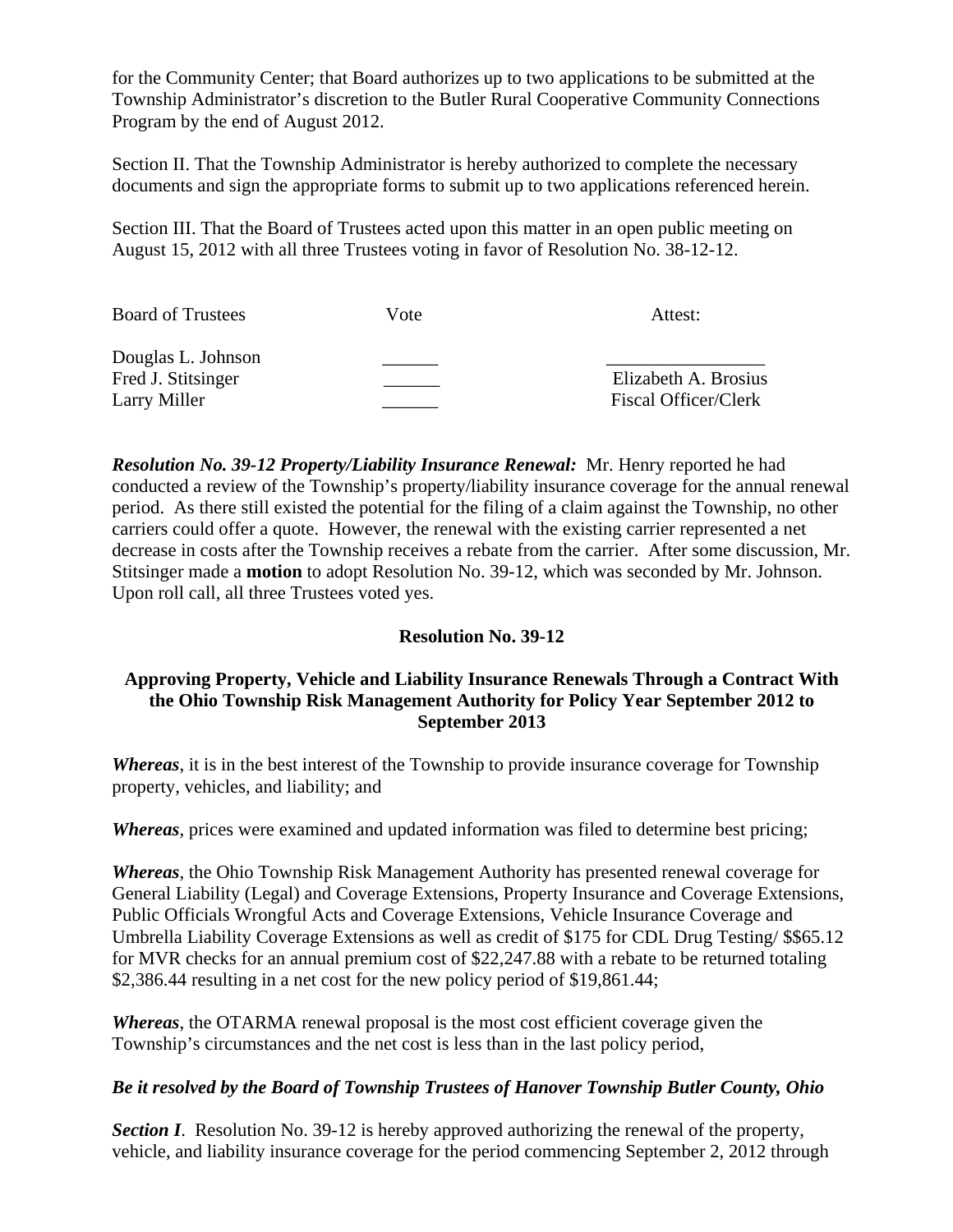for the Community Center; that Board authorizes up to two applications to be submitted at the Township Administrator's discretion to the Butler Rural Cooperative Community Connections Program by the end of August 2012.

Section II. That the Township Administrator is hereby authorized to complete the necessary documents and sign the appropriate forms to submit up to two applications referenced herein.

Section III. That the Board of Trustees acted upon this matter in an open public meeting on August 15, 2012 with all three Trustees voting in favor of Resolution No. 38-12-12.

| <b>Board of Trustees</b>                 | Vote | Attest:                     |
|------------------------------------------|------|-----------------------------|
| Douglas L. Johnson<br>Fred J. Stitsinger |      | Elizabeth A. Brosius        |
| Larry Miller                             |      | <b>Fiscal Officer/Clerk</b> |

*Resolution No. 39-12 Property/Liability Insurance Renewal:* Mr. Henry reported he had conducted a review of the Township's property/liability insurance coverage for the annual renewal period. As there still existed the potential for the filing of a claim against the Township, no other carriers could offer a quote. However, the renewal with the existing carrier represented a net decrease in costs after the Township receives a rebate from the carrier. After some discussion, Mr. Stitsinger made a **motion** to adopt Resolution No. 39-12, which was seconded by Mr. Johnson. Upon roll call, all three Trustees voted yes.

## **Resolution No. 39-12**

## **Approving Property, Vehicle and Liability Insurance Renewals Through a Contract With the Ohio Township Risk Management Authority for Policy Year September 2012 to September 2013**

*Whereas*, it is in the best interest of the Township to provide insurance coverage for Township property, vehicles, and liability; and

*Whereas*, prices were examined and updated information was filed to determine best pricing;

*Whereas*, the Ohio Township Risk Management Authority has presented renewal coverage for General Liability (Legal) and Coverage Extensions, Property Insurance and Coverage Extensions, Public Officials Wrongful Acts and Coverage Extensions, Vehicle Insurance Coverage and Umbrella Liability Coverage Extensions as well as credit of \$175 for CDL Drug Testing/ \$\$65.12 for MVR checks for an annual premium cost of \$22,247.88 with a rebate to be returned totaling \$2,386.44 resulting in a net cost for the new policy period of \$19,861.44;

*Whereas*, the OTARMA renewal proposal is the most cost efficient coverage given the Township's circumstances and the net cost is less than in the last policy period,

## *Be it resolved by the Board of Township Trustees of Hanover Township Butler County, Ohio*

*Section I*. Resolution No. 39-12 is hereby approved authorizing the renewal of the property, vehicle, and liability insurance coverage for the period commencing September 2, 2012 through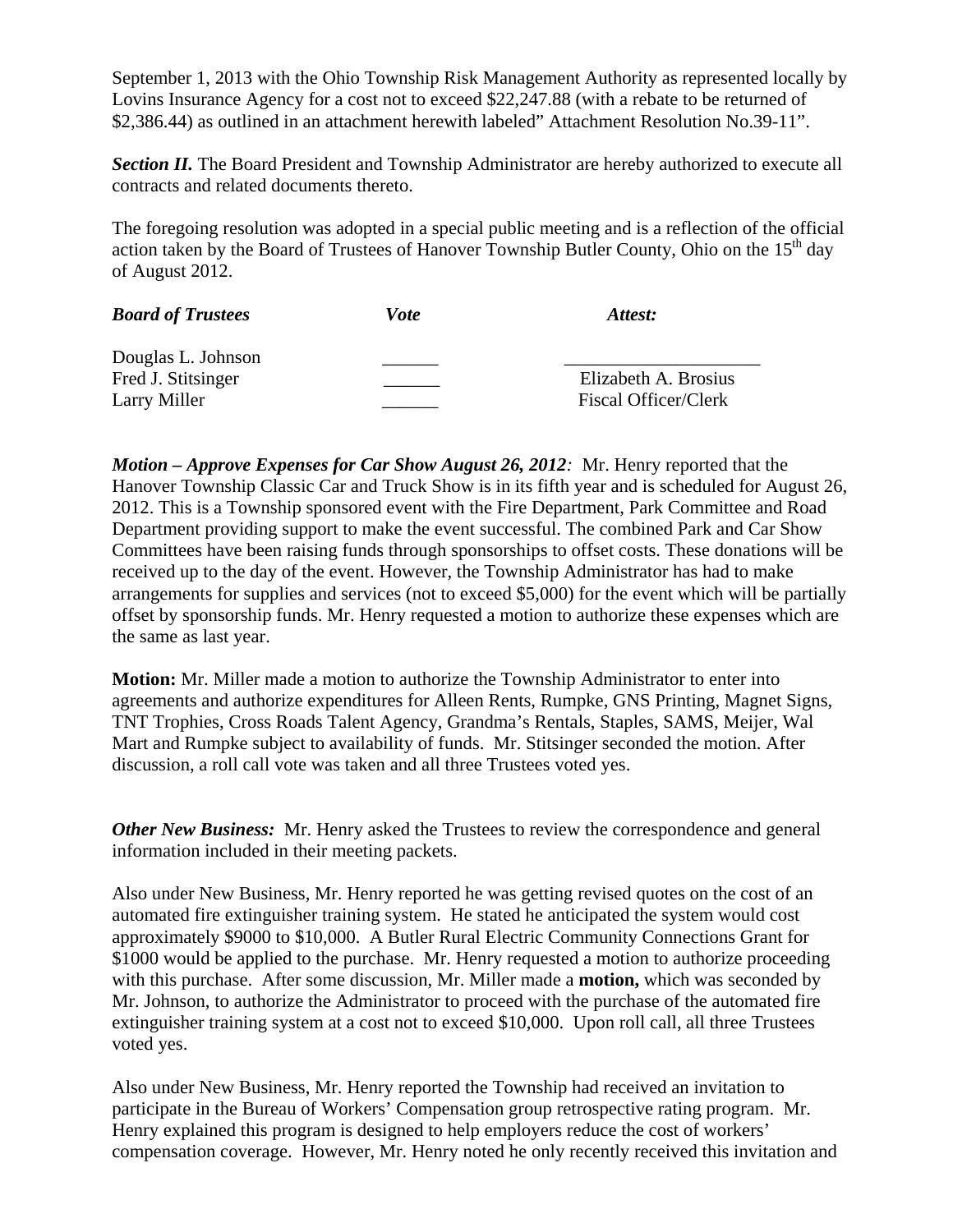September 1, 2013 with the Ohio Township Risk Management Authority as represented locally by Lovins Insurance Agency for a cost not to exceed \$22,247.88 (with a rebate to be returned of \$2,386.44) as outlined in an attachment herewith labeled" Attachment Resolution No.39-11".

**Section II.** The Board President and Township Administrator are hereby authorized to execute all contracts and related documents thereto.

The foregoing resolution was adopted in a special public meeting and is a reflection of the official action taken by the Board of Trustees of Hanover Township Butler County, Ohio on the  $15<sup>th</sup>$  day of August 2012.

| <b>Board of Trustees</b> | Vote | Attest:                     |
|--------------------------|------|-----------------------------|
| Douglas L. Johnson       |      |                             |
| Fred J. Stitsinger       |      | Elizabeth A. Brosius        |
| Larry Miller             |      | <b>Fiscal Officer/Clerk</b> |

*Motion – Approve Expenses for Car Show August 26, 2012:* Mr. Henry reported that the Hanover Township Classic Car and Truck Show is in its fifth year and is scheduled for August 26, 2012. This is a Township sponsored event with the Fire Department, Park Committee and Road Department providing support to make the event successful. The combined Park and Car Show Committees have been raising funds through sponsorships to offset costs. These donations will be received up to the day of the event. However, the Township Administrator has had to make arrangements for supplies and services (not to exceed \$5,000) for the event which will be partially offset by sponsorship funds. Mr. Henry requested a motion to authorize these expenses which are the same as last year.

**Motion:** Mr. Miller made a motion to authorize the Township Administrator to enter into agreements and authorize expenditures for Alleen Rents, Rumpke, GNS Printing, Magnet Signs, TNT Trophies, Cross Roads Talent Agency, Grandma's Rentals, Staples, SAMS, Meijer, Wal Mart and Rumpke subject to availability of funds. Mr. Stitsinger seconded the motion. After discussion, a roll call vote was taken and all three Trustees voted yes.

*Other New Business:* Mr. Henry asked the Trustees to review the correspondence and general information included in their meeting packets.

Also under New Business, Mr. Henry reported he was getting revised quotes on the cost of an automated fire extinguisher training system. He stated he anticipated the system would cost approximately \$9000 to \$10,000. A Butler Rural Electric Community Connections Grant for \$1000 would be applied to the purchase. Mr. Henry requested a motion to authorize proceeding with this purchase. After some discussion, Mr. Miller made a **motion,** which was seconded by Mr. Johnson, to authorize the Administrator to proceed with the purchase of the automated fire extinguisher training system at a cost not to exceed \$10,000. Upon roll call, all three Trustees voted yes.

Also under New Business, Mr. Henry reported the Township had received an invitation to participate in the Bureau of Workers' Compensation group retrospective rating program. Mr. Henry explained this program is designed to help employers reduce the cost of workers' compensation coverage. However, Mr. Henry noted he only recently received this invitation and